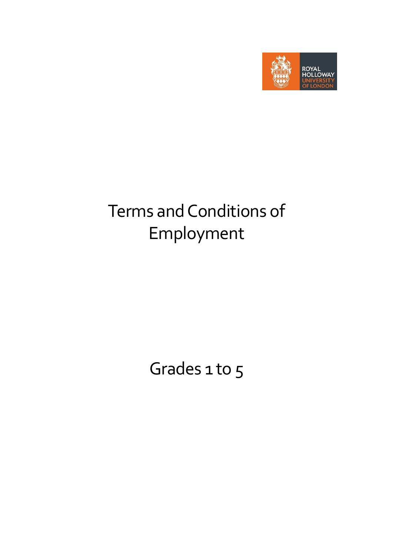

# Terms and Conditions of Employment

Grades 1 to 5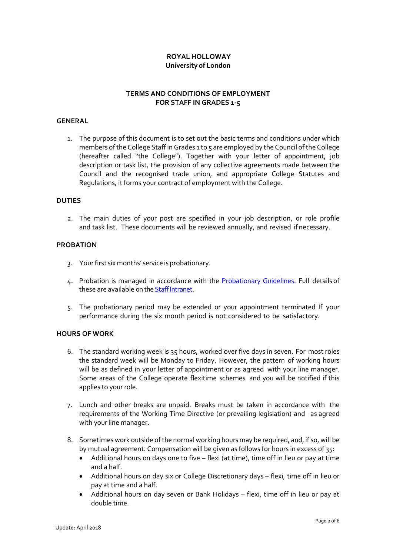## **ROYAL HOLLOWAY University of London**

## **TERMS AND CONDITIONS OF EMPLOYMENT FOR STAFF IN GRADES 1-5**

#### **GENERAL**

1. The purpose of this document is to set out the basic terms and conditions under which members of the College Staff in Grades 1 to 5 are employed by the Council of the College (hereafter called "the College"). Together with your letter of appointment, job description or task list, the provision of any collective agreements made between the Council and the recognised trade union, and appropriate College Statutes and Regulations, it forms your contract of employment with the College.

## **DUTIES**

2. The main duties of your post are specified in your job description, or role profile and task list. These documents will be reviewed annually, and revised if necessary.

#### **PROBATION**

- 3. Yourfirst six months' service is probationary.
- 4. Probation is managed in accordance with the [Probationary](https://www.royalholloway.ac.uk/staff/assets/docs/pdf/human-resources/probation-guidelines.pdf) Guidelines. Full details of these are available on th[e Staff Intranet.](https://www.royalholloway.ac.uk/staff/your-employment/home.aspx)
- 5. The probationary period may be extended or your appointment terminated If your performance during the six month period is not considered to be satisfactory.

#### **HOURS OF WORK**

- 6. The standard working week is 35 hours, worked over five days in seven. For most roles the standard week will be Monday to Friday. However, the pattern of working hours will be as defined in your letter of appointment or as agreed with your line manager. Some areas of the College operate flexitime schemes and you will be notified if this applies to your role.
- 7. Lunch and other breaks are unpaid. Breaks must be taken in accordance with the requirements of the Working Time Directive (or prevailing legislation) and as agreed with your line manager.
- 8. Sometimes work outside of the normal working hours may be required, and, if so, will be by mutual agreement. Compensation will be given as follows for hours in excess of 35:
	- Additional hours on days one to five flexi (at time), time off in lieu or pay at time and a half.
	- Additional hours on day six or College Discretionary days flexi, time off in lieu or pay at time and a half.
	- Additional hours on day seven or Bank Holidays flexi, time off in lieu or pay at double time.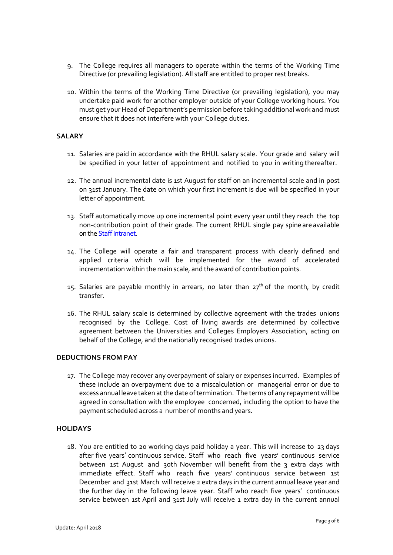- 9. The College requires all managers to operate within the terms of the Working Time Directive (or prevailing legislation). All staff are entitled to proper rest breaks.
- 10. Within the terms of the Working Time Directive (or prevailing legislation), you may undertake paid work for another employer outside of your College working hours. You must get your Head of Department's permission before taking additional work and must ensure that it does not interfere with your College duties.

#### **SALARY**

- 11. Salaries are paid in accordance with the RHUL salary scale. Your grade and salary will be specified in your letter of appointment and notified to you in writing thereafter.
- 12. The annual incremental date is 1st August for staff on an incremental scale and in post on 31st January. The date on which your first increment is due will be specified in your letter of appointment.
- 13. Staff automatically move up one incremental point every year until they reach the top non-contribution point of their grade. The current RHUL single pay spine are available on th[e Staff Intranet.](https://www.royalholloway.ac.uk/staff/your-employment/home.aspx)
- 14. The College will operate a fair and transparent process with clearly defined and applied criteria which will be implemented for the award of accelerated incrementation within the main scale, and the award of contribution points.
- 15. Salaries are payable monthly in arrears, no later than  $27<sup>th</sup>$  of the month, by credit transfer.
- 16. The RHUL salary scale is determined by collective agreement with the trades unions recognised by the College. Cost of living awards are determined by collective agreement between the Universities and Colleges Employers Association, acting on behalf of the College, and the nationally recognised trades unions.

#### **DEDUCTIONS FROM PAY**

17. The College may recover any overpayment of salary or expenses incurred. Examples of these include an overpayment due to a miscalculation or managerial error or due to excess annual leave taken at the date of termination. The terms of any repayment will be agreed in consultation with the employee concerned, including the option to have the payment scheduled across a number of months and years.

## **HOLIDAYS**

18. You are entitled to 20 working days paid holiday a year. This will increase to 23 days after five years' continuous service. Staff who reach five years' continuous service between 1st August and 30th November will benefit from the 3 extra days with immediate effect. Staff who reach five years' continuous service between 1st December and 31st March will receive 2 extra days in the current annual leave year and the further day in the following leave year. Staff who reach five years' continuous service between 1st April and 31st July will receive 1 extra day in the current annual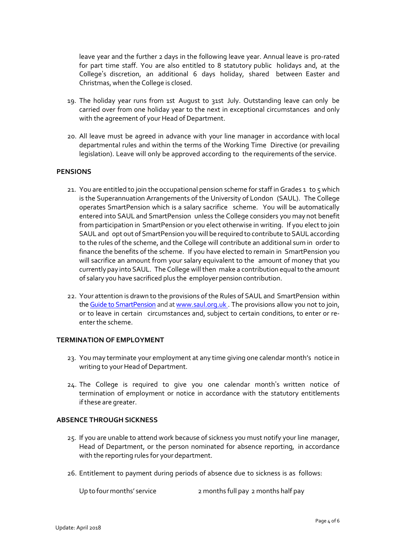leave year and the further 2 days in the following leave year. Annual leave is pro-rated for part time staff. You are also entitled to 8 statutory public holidays and, at the College's discretion, an additional 6 days holiday, shared between Easter and Christmas, when the College is closed.

- 19. The holiday year runs from 1st August to 31st July. Outstanding leave can only be carried over from one holiday year to the next in exceptional circumstances and only with the agreement of your Head of Department.
- 20. All leave must be agreed in advance with your line manager in accordance with local departmental rules and within the terms of the Working Time Directive (or prevailing legislation). Leave will only be approved according to the requirements of the service.

#### **PENSIONS**

- 21. You are entitled to join the occupational pension scheme for staff in Grades 1 to 5 which is the Superannuation Arrangements of the University of London (SAUL). The College operates SmartPension which is a salary sacrifice scheme. You will be automatically entered into SAUL and SmartPension unless the College considers you may not benefit from participation in SmartPension or you elect otherwise in writing. If you electto join SAUL and opt out of SmartPension you will be required to contribute to SAUL according to the rules of the scheme, and the College will contribute an additional sum in order to finance the benefits of the scheme. If you have elected to remain in SmartPension you will sacrifice an amount from your salary equivalent to the amount of money that you currently pay into SAUL. The College will then make a contribution equal to the amount of salary you have sacrificed plus the employer pension contribution.
- 22. Your attention is drawn to the provisions of the Rules of SAUL and SmartPension within th[e Guide to SmartPension](https://www.royalholloway.ac.uk/restricted/contensis/finance/documents/pdf/smartpension-booklet-april-2016.pdf) and at www.saul.org.uk. The provisions allow you not to join, or to leave in certain circumstances and, subject to certain conditions, to enter or reenterthe scheme.

#### **TERMINATION OF EMPLOYMENT**

- 23. You may terminate your employment at any time giving one calendar month's notice in writing to your Head of Department.
- 24. The College is required to give you one calendar month's written notice of termination of employment or notice in accordance with the statutory entitlements if these are greater.

#### **ABSENCE THROUGH SICKNESS**

- 25. If you are unable to attend work because of sickness you must notify your line manager, Head of Department, or the person nominated for absence reporting, in accordance with the reporting rules for your department.
- 26. Entitlement to payment during periods of absence due to sickness is as follows:

Up to four months' service 2 months full pay 2 months half pay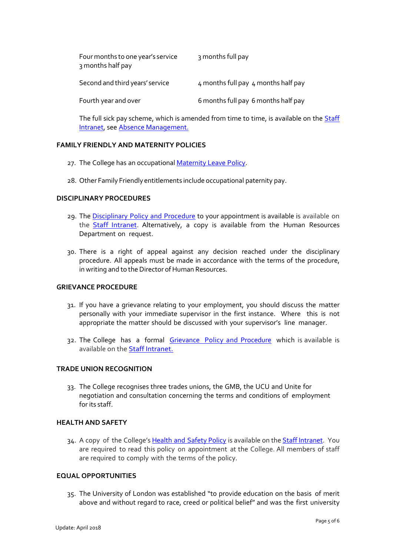| Four months to one year's service<br>3 months half pay | 3 months full pay                   |
|--------------------------------------------------------|-------------------------------------|
| Second and third years' service                        | 4 months full pay 4 months half pay |
| Fourth year and over                                   | 6 months full pay 6 months half pay |

The full sick pay scheme, which is amended from time to time, is available on the **Staff** [Intranet,](https://www.royalholloway.ac.uk/staff/your-employment/home.aspx) see [Absence Management.](https://www.royalholloway.ac.uk/staff/your-employment/human-resources/policies-procedures-and-forms/a-h/absence-management.aspx)

## **FAMILY FRIENDLY AND MATERNITY POLICIES**

- 27. The College has an occupational [Maternity](https://www.royalholloway.ac.uk/staff/assets/docs/pdf/human-resources/maternity-leave-policy.pdf) Leave Policy.
- 28. Other Family Friendly entitlements include occupational paternity pay.

#### **DISCIPLINARY PROCEDURES**

- 29. The [Disciplinary Policy and Procedure](https://www.royalholloway.ac.uk/staff/assets/docs/pdf/human-resources/disciplinary-policy-and-procedure.pdf) to your appointment is available is available on the **Staff Intranet**. Alternatively, a copy is available from the Human Resources Department on request.
- 30. There is a right of appeal against any decision reached under the disciplinary procedure. All appeals must be made in accordance with the terms of the procedure, in writing and to the Director of Human Resources.

#### **GRIEVANCE PROCEDURE**

- 31. If you have a grievance relating to your employment, you should discuss the matter personally with your immediate supervisor in the first instance. Where this is not appropriate the matter should be discussed with your supervisor's line manager.
- 32. The College has a formal [Grievance Policy and Procedure](https://www.royalholloway.ac.uk/staff/assets/docs/pdf/human-resources/grievance-policy-and-procedure.pdf) which is available is available on the [Staff Intranet.](https://www.royalholloway.ac.uk/staff/your-employment/home.aspx)

#### **TRADE UNION RECOGNITION**

33. The College recognises three trades unions, the GMB, the UCU and Unite for negotiation and consultation concerning the terms and conditions of employment for its staff.

#### **HEALTH AND SAFETY**

34. A copy of the College's Health and [Safety Policy](https://www.royalholloway.ac.uk/staff/assets/docs/pdf/health-and-safety/health-and-safety-policy-final.pdf) is available on th[e Staff Intranet.](https://www.royalholloway.ac.uk/staff/tools-and-links/health-and-safety/health-and-safety-office.aspx) You are required to read this policy on appointment at the College. All members of staff are required to comply with the terms of the policy.

#### **EQUAL OPPORTUNITIES**

35. The University of London was established "to provide education on the basis of merit above and without regard to race, creed or political belief" and was the first university